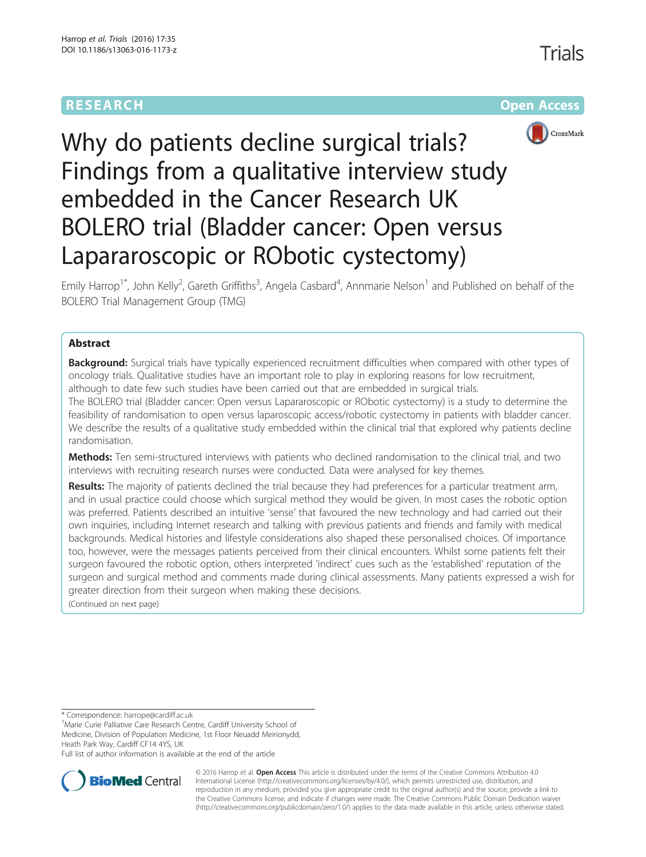Trials





# Why do patients decline surgical trials? Findings from a qualitative interview study embedded in the Cancer Research UK BOLERO trial (Bladder cancer: Open versus Lapararoscopic or RObotic cystectomy)

Emily Harrop<sup>1\*</sup>, John Kelly<sup>2</sup>, Gareth Griffiths<sup>3</sup>, Angela Casbard<sup>4</sup>, Annmarie Nelson<sup>1</sup> and Published on behalf of the BOLERO Trial Management Group (TMG)

# Abstract

**Background:** Surgical trials have typically experienced recruitment difficulties when compared with other types of oncology trials. Qualitative studies have an important role to play in exploring reasons for low recruitment, although to date few such studies have been carried out that are embedded in surgical trials.

The BOLERO trial (Bladder cancer: Open versus Lapararoscopic or RObotic cystectomy) is a study to determine the feasibility of randomisation to open versus laparoscopic access/robotic cystectomy in patients with bladder cancer. We describe the results of a qualitative study embedded within the clinical trial that explored why patients decline randomisation.

Methods: Ten semi-structured interviews with patients who declined randomisation to the clinical trial, and two interviews with recruiting research nurses were conducted. Data were analysed for key themes.

Results: The majority of patients declined the trial because they had preferences for a particular treatment arm, and in usual practice could choose which surgical method they would be given. In most cases the robotic option was preferred. Patients described an intuitive 'sense' that favoured the new technology and had carried out their own inquiries, including Internet research and talking with previous patients and friends and family with medical backgrounds. Medical histories and lifestyle considerations also shaped these personalised choices. Of importance too, however, were the messages patients perceived from their clinical encounters. Whilst some patients felt their surgeon favoured the robotic option, others interpreted 'indirect' cues such as the 'established' reputation of the surgeon and surgical method and comments made during clinical assessments. Many patients expressed a wish for greater direction from their surgeon when making these decisions.

(Continued on next page)

\* Correspondence: [harrope@cardiff.ac.uk](mailto:harrope@cardiff.ac.uk) <sup>1</sup>

<sup>1</sup> Marie Curie Palliative Care Research Centre, Cardiff University School of Medicine, Division of Population Medicine, 1st Floor Neuadd Meirionydd, Heath Park Way, Cardiff CF14 4YS, UK

Full list of author information is available at the end of the article



© 2016 Harrop et al. Open Access This article is distributed under the terms of the Creative Commons Attribution 4.0 International License [\(http://creativecommons.org/licenses/by/4.0/](http://creativecommons.org/licenses/by/4.0/)), which permits unrestricted use, distribution, and reproduction in any medium, provided you give appropriate credit to the original author(s) and the source, provide a link to the Creative Commons license, and indicate if changes were made. The Creative Commons Public Domain Dedication waiver [\(http://creativecommons.org/publicdomain/zero/1.0/](http://creativecommons.org/publicdomain/zero/1.0/)) applies to the data made available in this article, unless otherwise stated.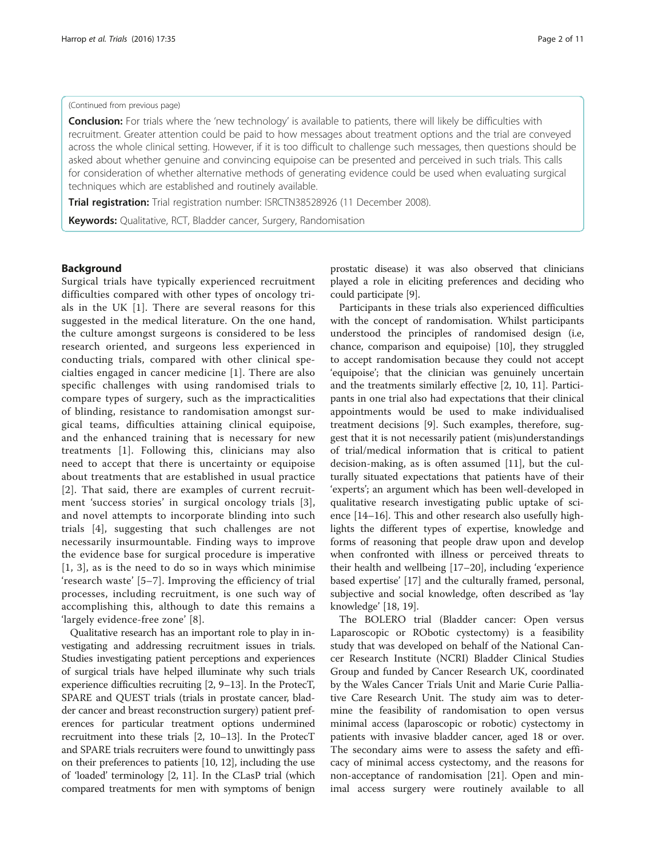#### (Continued from previous page)

**Conclusion:** For trials where the 'new technology' is available to patients, there will likely be difficulties with recruitment. Greater attention could be paid to how messages about treatment options and the trial are conveyed across the whole clinical setting. However, if it is too difficult to challenge such messages, then questions should be asked about whether genuine and convincing equipoise can be presented and perceived in such trials. This calls for consideration of whether alternative methods of generating evidence could be used when evaluating surgical techniques which are established and routinely available.

Trial registration: Trial registration number: [ISRCTN38528926](http://www.controlled-trials.com/ISRCTN38528926) (11 December 2008).

**Keywords:** Qualitative, RCT, Bladder cancer, Surgery, Randomisation

#### Background

Surgical trials have typically experienced recruitment difficulties compared with other types of oncology trials in the UK [\[1\]](#page-9-0). There are several reasons for this suggested in the medical literature. On the one hand, the culture amongst surgeons is considered to be less research oriented, and surgeons less experienced in conducting trials, compared with other clinical specialties engaged in cancer medicine [\[1](#page-9-0)]. There are also specific challenges with using randomised trials to compare types of surgery, such as the impracticalities of blinding, resistance to randomisation amongst surgical teams, difficulties attaining clinical equipoise, and the enhanced training that is necessary for new treatments [[1\]](#page-9-0). Following this, clinicians may also need to accept that there is uncertainty or equipoise about treatments that are established in usual practice [[2](#page-9-0)]. That said, there are examples of current recruitment 'success stories' in surgical oncology trials [[3](#page-9-0)], and novel attempts to incorporate blinding into such trials [[4](#page-9-0)], suggesting that such challenges are not necessarily insurmountable. Finding ways to improve the evidence base for surgical procedure is imperative [[1](#page-9-0), [3](#page-9-0)], as is the need to do so in ways which minimise 'research waste' [[5](#page-9-0)–[7](#page-9-0)]. Improving the efficiency of trial processes, including recruitment, is one such way of accomplishing this, although to date this remains a 'largely evidence-free zone' [[8\]](#page-9-0).

Qualitative research has an important role to play in investigating and addressing recruitment issues in trials. Studies investigating patient perceptions and experiences of surgical trials have helped illuminate why such trials experience difficulties recruiting [[2, 9](#page-9-0)–[13\]](#page-9-0). In the ProtecT, SPARE and QUEST trials (trials in prostate cancer, bladder cancer and breast reconstruction surgery) patient preferences for particular treatment options undermined recruitment into these trials [[2, 10](#page-9-0)–[13](#page-9-0)]. In the ProtecT and SPARE trials recruiters were found to unwittingly pass on their preferences to patients [[10, 12](#page-9-0)], including the use of 'loaded' terminology [[2](#page-9-0), [11\]](#page-9-0). In the CLasP trial (which compared treatments for men with symptoms of benign

prostatic disease) it was also observed that clinicians played a role in eliciting preferences and deciding who could participate [\[9](#page-9-0)].

Participants in these trials also experienced difficulties with the concept of randomisation. Whilst participants understood the principles of randomised design (i.e, chance, comparison and equipoise) [\[10\]](#page-9-0), they struggled to accept randomisation because they could not accept 'equipoise'; that the clinician was genuinely uncertain and the treatments similarly effective [[2](#page-9-0), [10, 11](#page-9-0)]. Participants in one trial also had expectations that their clinical appointments would be used to make individualised treatment decisions [[9\]](#page-9-0). Such examples, therefore, suggest that it is not necessarily patient (mis)understandings of trial/medical information that is critical to patient decision-making, as is often assumed [[11\]](#page-9-0), but the culturally situated expectations that patients have of their 'experts'; an argument which has been well-developed in qualitative research investigating public uptake of science [\[14](#page-9-0)–[16](#page-9-0)]. This and other research also usefully highlights the different types of expertise, knowledge and forms of reasoning that people draw upon and develop when confronted with illness or perceived threats to their health and wellbeing [[17](#page-9-0)–[20](#page-10-0)], including 'experience based expertise' [[17](#page-9-0)] and the culturally framed, personal, subjective and social knowledge, often described as 'lay knowledge' [\[18](#page-10-0), [19](#page-10-0)].

The BOLERO trial (Bladder cancer: Open versus Laparoscopic or RObotic cystectomy) is a feasibility study that was developed on behalf of the National Cancer Research Institute (NCRI) Bladder Clinical Studies Group and funded by Cancer Research UK, coordinated by the Wales Cancer Trials Unit and Marie Curie Palliative Care Research Unit. The study aim was to determine the feasibility of randomisation to open versus minimal access (laparoscopic or robotic) cystectomy in patients with invasive bladder cancer, aged 18 or over. The secondary aims were to assess the safety and efficacy of minimal access cystectomy, and the reasons for non-acceptance of randomisation [\[21](#page-10-0)]. Open and minimal access surgery were routinely available to all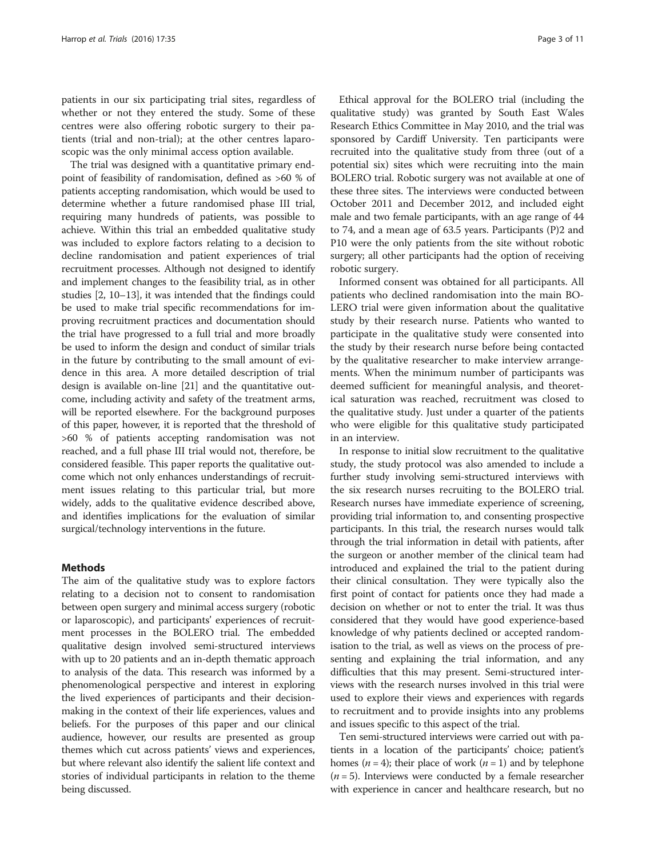patients in our six participating trial sites, regardless of whether or not they entered the study. Some of these centres were also offering robotic surgery to their patients (trial and non-trial); at the other centres laparoscopic was the only minimal access option available.

The trial was designed with a quantitative primary endpoint of feasibility of randomisation, defined as >60 % of patients accepting randomisation, which would be used to determine whether a future randomised phase III trial, requiring many hundreds of patients, was possible to achieve. Within this trial an embedded qualitative study was included to explore factors relating to a decision to decline randomisation and patient experiences of trial recruitment processes. Although not designed to identify and implement changes to the feasibility trial, as in other studies [\[2](#page-9-0), [10](#page-9-0)–[13\]](#page-9-0), it was intended that the findings could be used to make trial specific recommendations for improving recruitment practices and documentation should the trial have progressed to a full trial and more broadly be used to inform the design and conduct of similar trials in the future by contributing to the small amount of evidence in this area. A more detailed description of trial design is available on-line [\[21\]](#page-10-0) and the quantitative outcome, including activity and safety of the treatment arms, will be reported elsewhere. For the background purposes of this paper, however, it is reported that the threshold of >60 % of patients accepting randomisation was not reached, and a full phase III trial would not, therefore, be considered feasible. This paper reports the qualitative outcome which not only enhances understandings of recruitment issues relating to this particular trial, but more widely, adds to the qualitative evidence described above, and identifies implications for the evaluation of similar surgical/technology interventions in the future.

## Methods

The aim of the qualitative study was to explore factors relating to a decision not to consent to randomisation between open surgery and minimal access surgery (robotic or laparoscopic), and participants' experiences of recruitment processes in the BOLERO trial. The embedded qualitative design involved semi-structured interviews with up to 20 patients and an in-depth thematic approach to analysis of the data. This research was informed by a phenomenological perspective and interest in exploring the lived experiences of participants and their decisionmaking in the context of their life experiences, values and beliefs. For the purposes of this paper and our clinical audience, however, our results are presented as group themes which cut across patients' views and experiences, but where relevant also identify the salient life context and stories of individual participants in relation to the theme being discussed.

Ethical approval for the BOLERO trial (including the qualitative study) was granted by South East Wales Research Ethics Committee in May 2010, and the trial was sponsored by Cardiff University. Ten participants were recruited into the qualitative study from three (out of a potential six) sites which were recruiting into the main BOLERO trial. Robotic surgery was not available at one of these three sites. The interviews were conducted between October 2011 and December 2012, and included eight male and two female participants, with an age range of 44 to 74, and a mean age of 63.5 years. Participants (P)2 and P10 were the only patients from the site without robotic surgery; all other participants had the option of receiving robotic surgery.

Informed consent was obtained for all participants. All patients who declined randomisation into the main BO-LERO trial were given information about the qualitative study by their research nurse. Patients who wanted to participate in the qualitative study were consented into the study by their research nurse before being contacted by the qualitative researcher to make interview arrangements. When the minimum number of participants was deemed sufficient for meaningful analysis, and theoretical saturation was reached, recruitment was closed to the qualitative study. Just under a quarter of the patients who were eligible for this qualitative study participated in an interview.

In response to initial slow recruitment to the qualitative study, the study protocol was also amended to include a further study involving semi-structured interviews with the six research nurses recruiting to the BOLERO trial. Research nurses have immediate experience of screening, providing trial information to, and consenting prospective participants. In this trial, the research nurses would talk through the trial information in detail with patients, after the surgeon or another member of the clinical team had introduced and explained the trial to the patient during their clinical consultation. They were typically also the first point of contact for patients once they had made a decision on whether or not to enter the trial. It was thus considered that they would have good experience-based knowledge of why patients declined or accepted randomisation to the trial, as well as views on the process of presenting and explaining the trial information, and any difficulties that this may present. Semi-structured interviews with the research nurses involved in this trial were used to explore their views and experiences with regards to recruitment and to provide insights into any problems and issues specific to this aspect of the trial.

Ten semi-structured interviews were carried out with patients in a location of the participants' choice; patient's homes ( $n = 4$ ); their place of work ( $n = 1$ ) and by telephone  $(n = 5)$ . Interviews were conducted by a female researcher with experience in cancer and healthcare research, but no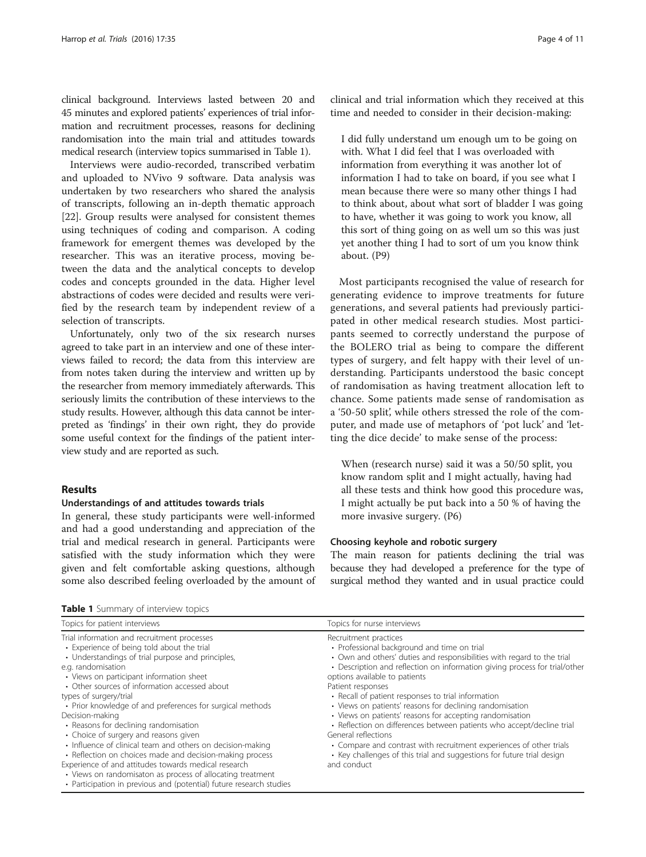clinical background. Interviews lasted between 20 and 45 minutes and explored patients' experiences of trial information and recruitment processes, reasons for declining randomisation into the main trial and attitudes towards medical research (interview topics summarised in Table 1).

Interviews were audio-recorded, transcribed verbatim and uploaded to NVivo 9 software. Data analysis was undertaken by two researchers who shared the analysis of transcripts, following an in-depth thematic approach [[22\]](#page-10-0). Group results were analysed for consistent themes using techniques of coding and comparison. A coding framework for emergent themes was developed by the researcher. This was an iterative process, moving between the data and the analytical concepts to develop codes and concepts grounded in the data. Higher level abstractions of codes were decided and results were verified by the research team by independent review of a selection of transcripts.

Unfortunately, only two of the six research nurses agreed to take part in an interview and one of these interviews failed to record; the data from this interview are from notes taken during the interview and written up by the researcher from memory immediately afterwards. This seriously limits the contribution of these interviews to the study results. However, although this data cannot be interpreted as 'findings' in their own right, they do provide some useful context for the findings of the patient interview study and are reported as such.

# Results

#### Understandings of and attitudes towards trials

In general, these study participants were well-informed and had a good understanding and appreciation of the trial and medical research in general. Participants were satisfied with the study information which they were given and felt comfortable asking questions, although some also described feeling overloaded by the amount of clinical and trial information which they received at this time and needed to consider in their decision-making:

I did fully understand um enough um to be going on with. What I did feel that I was overloaded with information from everything it was another lot of information I had to take on board, if you see what I mean because there were so many other things I had to think about, about what sort of bladder I was going to have, whether it was going to work you know, all this sort of thing going on as well um so this was just yet another thing I had to sort of um you know think about. (P9)

Most participants recognised the value of research for generating evidence to improve treatments for future generations, and several patients had previously participated in other medical research studies. Most participants seemed to correctly understand the purpose of the BOLERO trial as being to compare the different types of surgery, and felt happy with their level of understanding. Participants understood the basic concept of randomisation as having treatment allocation left to chance. Some patients made sense of randomisation as a '50-50 split', while others stressed the role of the computer, and made use of metaphors of 'pot luck' and 'letting the dice decide' to make sense of the process:

When (research nurse) said it was a 50/50 split, you know random split and I might actually, having had all these tests and think how good this procedure was, I might actually be put back into a 50 % of having the more invasive surgery. (P6)

#### Choosing keyhole and robotic surgery

The main reason for patients declining the trial was because they had developed a preference for the type of surgical method they wanted and in usual practice could

| Table 1 Summary of interview topics |  |  |
|-------------------------------------|--|--|
|-------------------------------------|--|--|

| Topics for patient interviews                                                                                                                                                                                                                                                                                                                                                                                                                                                                                                                                                                                                                                                                                                                                                        | Topics for nurse interviews                                                                                                                                                                                                                                                                                                                                                                                                                                                                                                                                                                                                                                                                                                      |
|--------------------------------------------------------------------------------------------------------------------------------------------------------------------------------------------------------------------------------------------------------------------------------------------------------------------------------------------------------------------------------------------------------------------------------------------------------------------------------------------------------------------------------------------------------------------------------------------------------------------------------------------------------------------------------------------------------------------------------------------------------------------------------------|----------------------------------------------------------------------------------------------------------------------------------------------------------------------------------------------------------------------------------------------------------------------------------------------------------------------------------------------------------------------------------------------------------------------------------------------------------------------------------------------------------------------------------------------------------------------------------------------------------------------------------------------------------------------------------------------------------------------------------|
| Trial information and recruitment processes<br>• Experience of being told about the trial<br>• Understandings of trial purpose and principles,<br>e.g. randomisation<br>• Views on participant information sheet<br>• Other sources of information accessed about<br>types of surgery/trial<br>• Prior knowledge of and preferences for surgical methods<br>Decision-making<br>• Reasons for declining randomisation<br>• Choice of surgery and reasons given<br>• Influence of clinical team and others on decision-making<br>• Reflection on choices made and decision-making process<br>Experience of and attitudes towards medical research<br>• Views on randomisaton as process of allocating treatment<br>• Participation in previous and (potential) future research studies | Recruitment practices<br>• Professional background and time on trial<br>• Own and others' duties and responsibilities with regard to the trial<br>• Description and reflection on information giving process for trial/other<br>options available to patients<br>Patient responses<br>• Recall of patient responses to trial information<br>• Views on patients' reasons for declining randomisation<br>• Views on patients' reasons for accepting randomisation<br>• Reflection on differences between patients who accept/decline trial<br>General reflections<br>• Compare and contrast with recruitment experiences of other trials<br>• Key challenges of this trial and suggestions for future trial design<br>and conduct |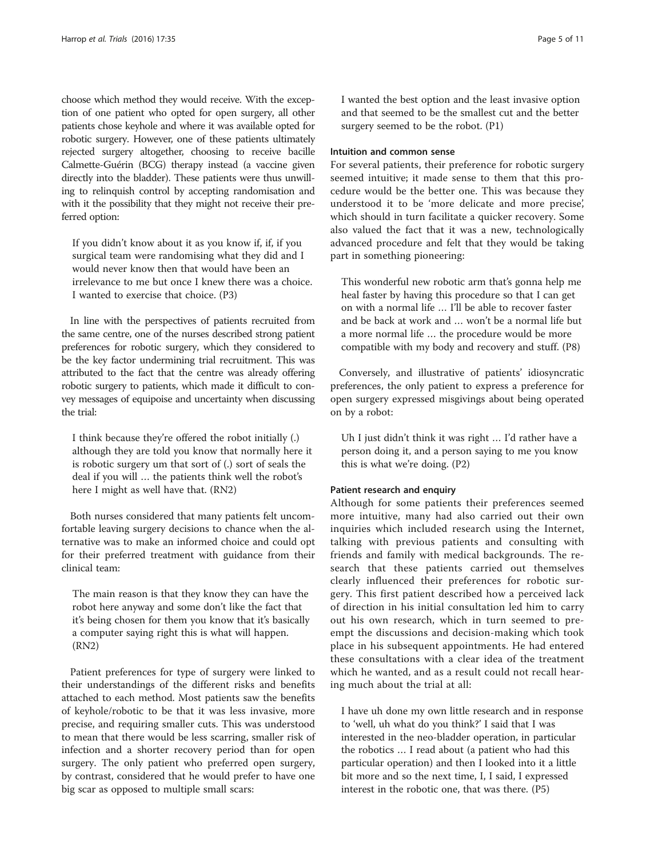choose which method they would receive. With the exception of one patient who opted for open surgery, all other patients chose keyhole and where it was available opted for robotic surgery. However, one of these patients ultimately rejected surgery altogether, choosing to receive bacille Calmette-Guérin (BCG) therapy instead (a vaccine given directly into the bladder). These patients were thus unwilling to relinquish control by accepting randomisation and with it the possibility that they might not receive their preferred option:

If you didn't know about it as you know if, if, if you surgical team were randomising what they did and I would never know then that would have been an irrelevance to me but once I knew there was a choice. I wanted to exercise that choice. (P3)

In line with the perspectives of patients recruited from the same centre, one of the nurses described strong patient preferences for robotic surgery, which they considered to be the key factor undermining trial recruitment. This was attributed to the fact that the centre was already offering robotic surgery to patients, which made it difficult to convey messages of equipoise and uncertainty when discussing the trial:

I think because they're offered the robot initially (.) although they are told you know that normally here it is robotic surgery um that sort of (.) sort of seals the deal if you will … the patients think well the robot's here I might as well have that. (RN2)

Both nurses considered that many patients felt uncomfortable leaving surgery decisions to chance when the alternative was to make an informed choice and could opt for their preferred treatment with guidance from their clinical team:

The main reason is that they know they can have the robot here anyway and some don't like the fact that it's being chosen for them you know that it's basically a computer saying right this is what will happen. (RN2)

Patient preferences for type of surgery were linked to their understandings of the different risks and benefits attached to each method. Most patients saw the benefits of keyhole/robotic to be that it was less invasive, more precise, and requiring smaller cuts. This was understood to mean that there would be less scarring, smaller risk of infection and a shorter recovery period than for open surgery. The only patient who preferred open surgery, by contrast, considered that he would prefer to have one big scar as opposed to multiple small scars:

I wanted the best option and the least invasive option and that seemed to be the smallest cut and the better surgery seemed to be the robot. (P1)

# Intuition and common sense

For several patients, their preference for robotic surgery seemed intuitive; it made sense to them that this procedure would be the better one. This was because they understood it to be 'more delicate and more precise', which should in turn facilitate a quicker recovery. Some also valued the fact that it was a new, technologically advanced procedure and felt that they would be taking part in something pioneering:

This wonderful new robotic arm that's gonna help me heal faster by having this procedure so that I can get on with a normal life … I'll be able to recover faster and be back at work and … won't be a normal life but a more normal life … the procedure would be more compatible with my body and recovery and stuff. (P8)

Conversely, and illustrative of patients' idiosyncratic preferences, the only patient to express a preference for open surgery expressed misgivings about being operated on by a robot:

Uh I just didn't think it was right … I'd rather have a person doing it, and a person saying to me you know this is what we're doing. (P2)

# Patient research and enquiry

Although for some patients their preferences seemed more intuitive, many had also carried out their own inquiries which included research using the Internet, talking with previous patients and consulting with friends and family with medical backgrounds. The research that these patients carried out themselves clearly influenced their preferences for robotic surgery. This first patient described how a perceived lack of direction in his initial consultation led him to carry out his own research, which in turn seemed to preempt the discussions and decision-making which took place in his subsequent appointments. He had entered these consultations with a clear idea of the treatment which he wanted, and as a result could not recall hearing much about the trial at all:

I have uh done my own little research and in response to 'well, uh what do you think?' I said that I was interested in the neo-bladder operation, in particular the robotics … I read about (a patient who had this particular operation) and then I looked into it a little bit more and so the next time, I, I said, I expressed interest in the robotic one, that was there. (P5)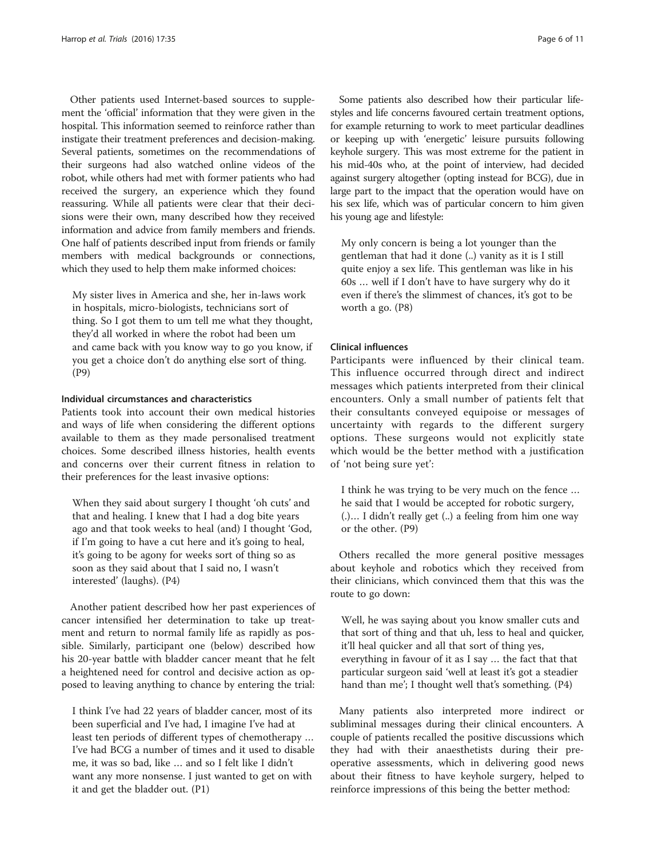Other patients used Internet-based sources to supplement the 'official' information that they were given in the hospital. This information seemed to reinforce rather than instigate their treatment preferences and decision-making. Several patients, sometimes on the recommendations of their surgeons had also watched online videos of the robot, while others had met with former patients who had received the surgery, an experience which they found reassuring. While all patients were clear that their decisions were their own, many described how they received information and advice from family members and friends. One half of patients described input from friends or family members with medical backgrounds or connections, which they used to help them make informed choices:

My sister lives in America and she, her in-laws work in hospitals, micro-biologists, technicians sort of thing. So I got them to um tell me what they thought, they'd all worked in where the robot had been um and came back with you know way to go you know, if you get a choice don't do anything else sort of thing. (P9)

#### Individual circumstances and characteristics

Patients took into account their own medical histories and ways of life when considering the different options available to them as they made personalised treatment choices. Some described illness histories, health events and concerns over their current fitness in relation to their preferences for the least invasive options:

When they said about surgery I thought 'oh cuts' and that and healing. I knew that I had a dog bite years ago and that took weeks to heal (and) I thought 'God, if I'm going to have a cut here and it's going to heal, it's going to be agony for weeks sort of thing so as soon as they said about that I said no, I wasn't interested' (laughs). (P4)

Another patient described how her past experiences of cancer intensified her determination to take up treatment and return to normal family life as rapidly as possible. Similarly, participant one (below) described how his 20-year battle with bladder cancer meant that he felt a heightened need for control and decisive action as opposed to leaving anything to chance by entering the trial:

I think I've had 22 years of bladder cancer, most of its been superficial and I've had, I imagine I've had at least ten periods of different types of chemotherapy … I've had BCG a number of times and it used to disable me, it was so bad, like … and so I felt like I didn't want any more nonsense. I just wanted to get on with it and get the bladder out. (P1)

Some patients also described how their particular lifestyles and life concerns favoured certain treatment options, for example returning to work to meet particular deadlines or keeping up with 'energetic' leisure pursuits following keyhole surgery. This was most extreme for the patient in his mid-40s who, at the point of interview, had decided against surgery altogether (opting instead for BCG), due in large part to the impact that the operation would have on his sex life, which was of particular concern to him given his young age and lifestyle:

My only concern is being a lot younger than the gentleman that had it done (..) vanity as it is I still quite enjoy a sex life. This gentleman was like in his 60s … well if I don't have to have surgery why do it even if there's the slimmest of chances, it's got to be worth a go. (P8)

#### Clinical influences

Participants were influenced by their clinical team. This influence occurred through direct and indirect messages which patients interpreted from their clinical encounters. Only a small number of patients felt that their consultants conveyed equipoise or messages of uncertainty with regards to the different surgery options. These surgeons would not explicitly state which would be the better method with a justification of 'not being sure yet':

I think he was trying to be very much on the fence … he said that I would be accepted for robotic surgery, (.)… I didn't really get (..) a feeling from him one way or the other. (P9)

Others recalled the more general positive messages about keyhole and robotics which they received from their clinicians, which convinced them that this was the route to go down:

Well, he was saying about you know smaller cuts and that sort of thing and that uh, less to heal and quicker, it'll heal quicker and all that sort of thing yes, everything in favour of it as I say … the fact that that particular surgeon said 'well at least it's got a steadier hand than me'; I thought well that's something. (P4)

Many patients also interpreted more indirect or subliminal messages during their clinical encounters. A couple of patients recalled the positive discussions which they had with their anaesthetists during their preoperative assessments, which in delivering good news about their fitness to have keyhole surgery, helped to reinforce impressions of this being the better method: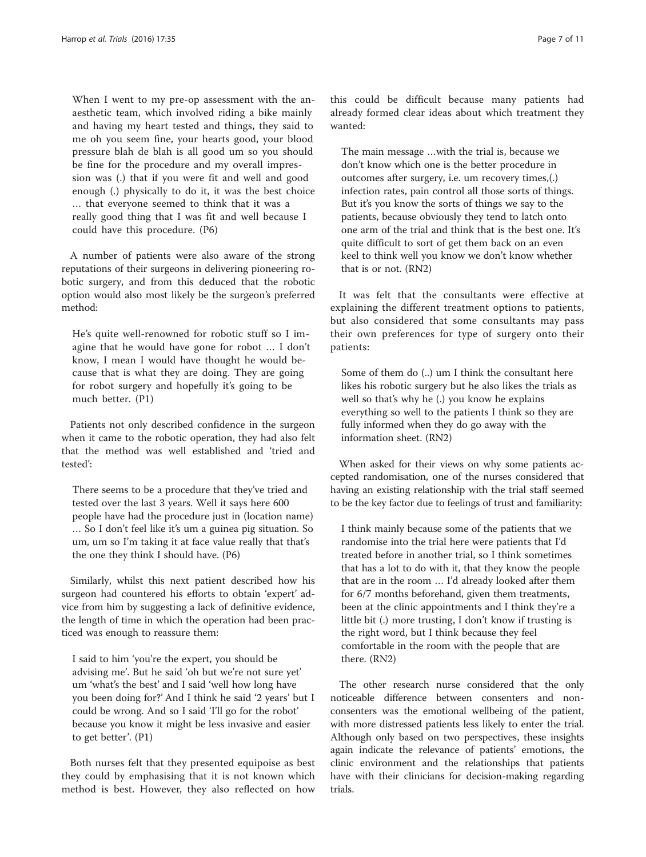When I went to my pre-op assessment with the anaesthetic team, which involved riding a bike mainly and having my heart tested and things, they said to me oh you seem fine, your hearts good, your blood pressure blah de blah is all good um so you should be fine for the procedure and my overall impression was (.) that if you were fit and well and good enough (.) physically to do it, it was the best choice … that everyone seemed to think that it was a really good thing that I was fit and well because I could have this procedure. (P6)

A number of patients were also aware of the strong reputations of their surgeons in delivering pioneering robotic surgery, and from this deduced that the robotic option would also most likely be the surgeon's preferred method:

He's quite well-renowned for robotic stuff so I imagine that he would have gone for robot … I don't know, I mean I would have thought he would because that is what they are doing. They are going for robot surgery and hopefully it's going to be much better. (P1)

Patients not only described confidence in the surgeon when it came to the robotic operation, they had also felt that the method was well established and 'tried and tested':

There seems to be a procedure that they've tried and tested over the last 3 years. Well it says here 600 people have had the procedure just in (location name) … So I don't feel like it's um a guinea pig situation. So um, um so I'm taking it at face value really that that's the one they think I should have. (P6)

Similarly, whilst this next patient described how his surgeon had countered his efforts to obtain 'expert' advice from him by suggesting a lack of definitive evidence, the length of time in which the operation had been practiced was enough to reassure them:

I said to him 'you're the expert, you should be advising me'. But he said 'oh but we're not sure yet' um 'what's the best' and I said 'well how long have you been doing for?' And I think he said '2 years' but I could be wrong. And so I said 'I'll go for the robot' because you know it might be less invasive and easier to get better'. (P1)

Both nurses felt that they presented equipoise as best they could by emphasising that it is not known which method is best. However, they also reflected on how

this could be difficult because many patients had already formed clear ideas about which treatment they wanted:

The main message …with the trial is, because we don't know which one is the better procedure in outcomes after surgery, i.e. um recovery times,(.) infection rates, pain control all those sorts of things. But it's you know the sorts of things we say to the patients, because obviously they tend to latch onto one arm of the trial and think that is the best one. It's quite difficult to sort of get them back on an even keel to think well you know we don't know whether that is or not. (RN2)

It was felt that the consultants were effective at explaining the different treatment options to patients, but also considered that some consultants may pass their own preferences for type of surgery onto their patients:

Some of them do (..) um I think the consultant here likes his robotic surgery but he also likes the trials as well so that's why he (.) you know he explains everything so well to the patients I think so they are fully informed when they do go away with the information sheet. (RN2)

When asked for their views on why some patients accepted randomisation, one of the nurses considered that having an existing relationship with the trial staff seemed to be the key factor due to feelings of trust and familiarity:

I think mainly because some of the patients that we randomise into the trial here were patients that I'd treated before in another trial, so I think sometimes that has a lot to do with it, that they know the people that are in the room … I'd already looked after them for 6/7 months beforehand, given them treatments, been at the clinic appointments and I think they're a little bit (.) more trusting, I don't know if trusting is the right word, but I think because they feel comfortable in the room with the people that are there. (RN2)

The other research nurse considered that the only noticeable difference between consenters and nonconsenters was the emotional wellbeing of the patient, with more distressed patients less likely to enter the trial. Although only based on two perspectives, these insights again indicate the relevance of patients' emotions, the clinic environment and the relationships that patients have with their clinicians for decision-making regarding trials.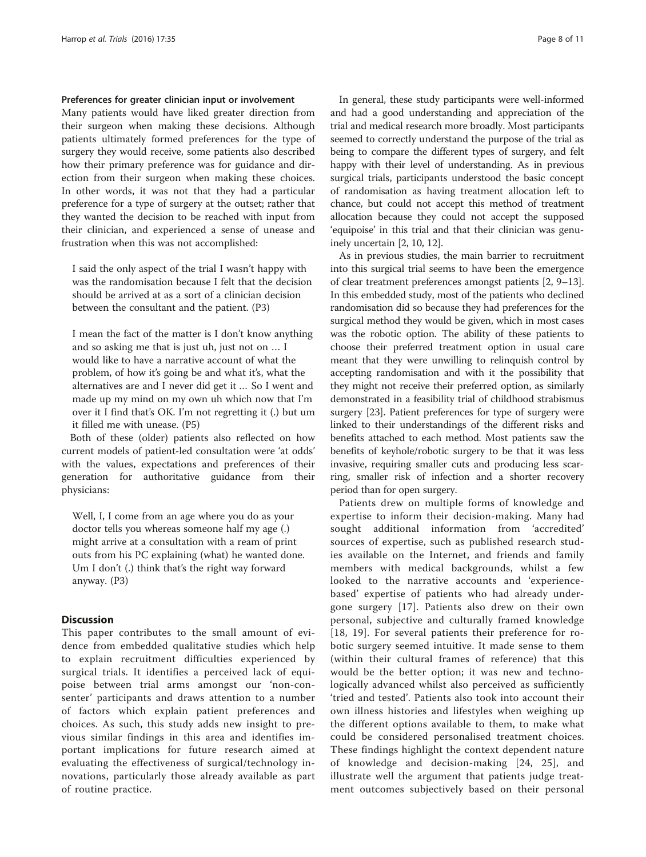## Preferences for greater clinician input or involvement

Many patients would have liked greater direction from their surgeon when making these decisions. Although patients ultimately formed preferences for the type of surgery they would receive, some patients also described how their primary preference was for guidance and direction from their surgeon when making these choices. In other words, it was not that they had a particular preference for a type of surgery at the outset; rather that they wanted the decision to be reached with input from their clinician, and experienced a sense of unease and frustration when this was not accomplished:

I said the only aspect of the trial I wasn't happy with was the randomisation because I felt that the decision should be arrived at as a sort of a clinician decision between the consultant and the patient. (P3)

I mean the fact of the matter is I don't know anything and so asking me that is just uh, just not on … I would like to have a narrative account of what the problem, of how it's going be and what it's, what the alternatives are and I never did get it … So I went and made up my mind on my own uh which now that I'm over it I find that's OK. I'm not regretting it (.) but um it filled me with unease. (P5)

Both of these (older) patients also reflected on how current models of patient-led consultation were 'at odds' with the values, expectations and preferences of their generation for authoritative guidance from their physicians:

Well, I, I come from an age where you do as your doctor tells you whereas someone half my age (.) might arrive at a consultation with a ream of print outs from his PC explaining (what) he wanted done. Um I don't (.) think that's the right way forward anyway. (P3)

#### **Discussion**

This paper contributes to the small amount of evidence from embedded qualitative studies which help to explain recruitment difficulties experienced by surgical trials. It identifies a perceived lack of equipoise between trial arms amongst our 'non-consenter' participants and draws attention to a number of factors which explain patient preferences and choices. As such, this study adds new insight to previous similar findings in this area and identifies important implications for future research aimed at evaluating the effectiveness of surgical/technology innovations, particularly those already available as part of routine practice.

In general, these study participants were well-informed and had a good understanding and appreciation of the trial and medical research more broadly. Most participants seemed to correctly understand the purpose of the trial as being to compare the different types of surgery, and felt happy with their level of understanding. As in previous surgical trials, participants understood the basic concept of randomisation as having treatment allocation left to chance, but could not accept this method of treatment allocation because they could not accept the supposed 'equipoise' in this trial and that their clinician was genuinely uncertain [\[2, 10](#page-9-0), [12](#page-9-0)].

As in previous studies, the main barrier to recruitment into this surgical trial seems to have been the emergence of clear treatment preferences amongst patients [\[2](#page-9-0), [9](#page-9-0)–[13](#page-9-0)]. In this embedded study, most of the patients who declined randomisation did so because they had preferences for the surgical method they would be given, which in most cases was the robotic option. The ability of these patients to choose their preferred treatment option in usual care meant that they were unwilling to relinquish control by accepting randomisation and with it the possibility that they might not receive their preferred option, as similarly demonstrated in a feasibility trial of childhood strabismus surgery [[23](#page-10-0)]. Patient preferences for type of surgery were linked to their understandings of the different risks and benefits attached to each method. Most patients saw the benefits of keyhole/robotic surgery to be that it was less invasive, requiring smaller cuts and producing less scarring, smaller risk of infection and a shorter recovery period than for open surgery.

Patients drew on multiple forms of knowledge and expertise to inform their decision-making. Many had sought additional information from 'accredited' sources of expertise, such as published research studies available on the Internet, and friends and family members with medical backgrounds, whilst a few looked to the narrative accounts and 'experiencebased' expertise of patients who had already undergone surgery [\[17\]](#page-9-0). Patients also drew on their own personal, subjective and culturally framed knowledge [[18](#page-10-0), [19](#page-10-0)]. For several patients their preference for robotic surgery seemed intuitive. It made sense to them (within their cultural frames of reference) that this would be the better option; it was new and technologically advanced whilst also perceived as sufficiently 'tried and tested'. Patients also took into account their own illness histories and lifestyles when weighing up the different options available to them, to make what could be considered personalised treatment choices. These findings highlight the context dependent nature of knowledge and decision-making [[24](#page-10-0), [25\]](#page-10-0), and illustrate well the argument that patients judge treatment outcomes subjectively based on their personal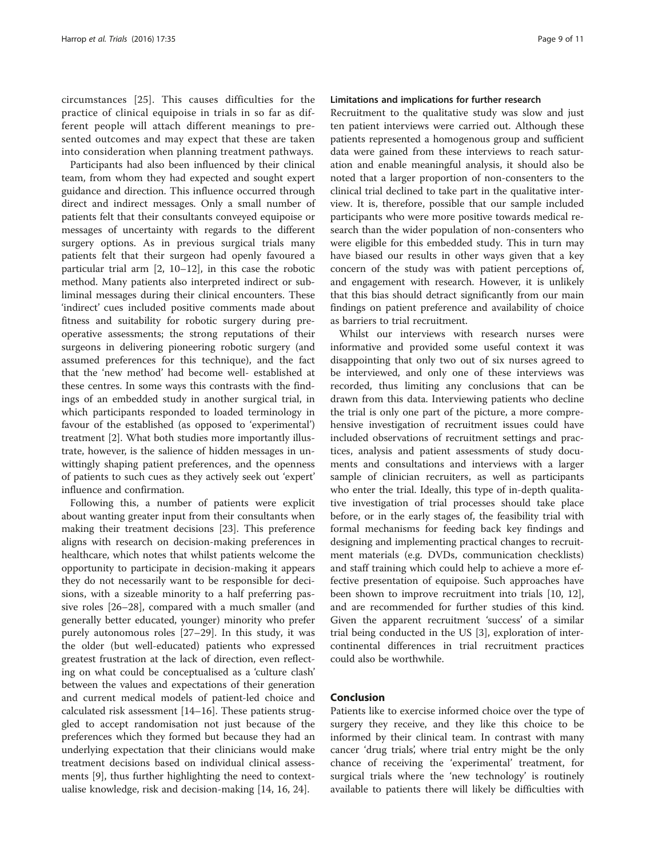circumstances [[25\]](#page-10-0). This causes difficulties for the practice of clinical equipoise in trials in so far as different people will attach different meanings to presented outcomes and may expect that these are taken into consideration when planning treatment pathways.

Participants had also been influenced by their clinical team, from whom they had expected and sought expert guidance and direction. This influence occurred through direct and indirect messages. Only a small number of patients felt that their consultants conveyed equipoise or messages of uncertainty with regards to the different surgery options. As in previous surgical trials many patients felt that their surgeon had openly favoured a particular trial arm [[2, 10](#page-9-0)–[12\]](#page-9-0), in this case the robotic method. Many patients also interpreted indirect or subliminal messages during their clinical encounters. These 'indirect' cues included positive comments made about fitness and suitability for robotic surgery during preoperative assessments; the strong reputations of their surgeons in delivering pioneering robotic surgery (and assumed preferences for this technique), and the fact that the 'new method' had become well- established at these centres. In some ways this contrasts with the findings of an embedded study in another surgical trial, in which participants responded to loaded terminology in favour of the established (as opposed to 'experimental') treatment [[2\]](#page-9-0). What both studies more importantly illustrate, however, is the salience of hidden messages in unwittingly shaping patient preferences, and the openness of patients to such cues as they actively seek out 'expert' influence and confirmation.

Following this, a number of patients were explicit about wanting greater input from their consultants when making their treatment decisions [\[23\]](#page-10-0). This preference aligns with research on decision-making preferences in healthcare, which notes that whilst patients welcome the opportunity to participate in decision-making it appears they do not necessarily want to be responsible for decisions, with a sizeable minority to a half preferring passive roles [\[26](#page-10-0)–[28](#page-10-0)], compared with a much smaller (and generally better educated, younger) minority who prefer purely autonomous roles [\[27](#page-10-0)–[29\]](#page-10-0). In this study, it was the older (but well-educated) patients who expressed greatest frustration at the lack of direction, even reflecting on what could be conceptualised as a 'culture clash' between the values and expectations of their generation and current medical models of patient-led choice and calculated risk assessment [[14](#page-9-0)–[16](#page-9-0)]. These patients struggled to accept randomisation not just because of the preferences which they formed but because they had an underlying expectation that their clinicians would make treatment decisions based on individual clinical assessments [\[9](#page-9-0)], thus further highlighting the need to contextualise knowledge, risk and decision-making [[14](#page-9-0), [16](#page-9-0), [24](#page-10-0)].

#### Limitations and implications for further research

Recruitment to the qualitative study was slow and just ten patient interviews were carried out. Although these patients represented a homogenous group and sufficient data were gained from these interviews to reach saturation and enable meaningful analysis, it should also be noted that a larger proportion of non-consenters to the clinical trial declined to take part in the qualitative interview. It is, therefore, possible that our sample included participants who were more positive towards medical research than the wider population of non-consenters who were eligible for this embedded study. This in turn may have biased our results in other ways given that a key concern of the study was with patient perceptions of, and engagement with research. However, it is unlikely that this bias should detract significantly from our main findings on patient preference and availability of choice as barriers to trial recruitment.

Whilst our interviews with research nurses were informative and provided some useful context it was disappointing that only two out of six nurses agreed to be interviewed, and only one of these interviews was recorded, thus limiting any conclusions that can be drawn from this data. Interviewing patients who decline the trial is only one part of the picture, a more comprehensive investigation of recruitment issues could have included observations of recruitment settings and practices, analysis and patient assessments of study documents and consultations and interviews with a larger sample of clinician recruiters, as well as participants who enter the trial. Ideally, this type of in-depth qualitative investigation of trial processes should take place before, or in the early stages of, the feasibility trial with formal mechanisms for feeding back key findings and designing and implementing practical changes to recruitment materials (e.g. DVDs, communication checklists) and staff training which could help to achieve a more effective presentation of equipoise. Such approaches have been shown to improve recruitment into trials [[10](#page-9-0), [12](#page-9-0)], and are recommended for further studies of this kind. Given the apparent recruitment 'success' of a similar trial being conducted in the US [[3\]](#page-9-0), exploration of intercontinental differences in trial recruitment practices could also be worthwhile.

# Conclusion

Patients like to exercise informed choice over the type of surgery they receive, and they like this choice to be informed by their clinical team. In contrast with many cancer 'drug trials', where trial entry might be the only chance of receiving the 'experimental' treatment, for surgical trials where the 'new technology' is routinely available to patients there will likely be difficulties with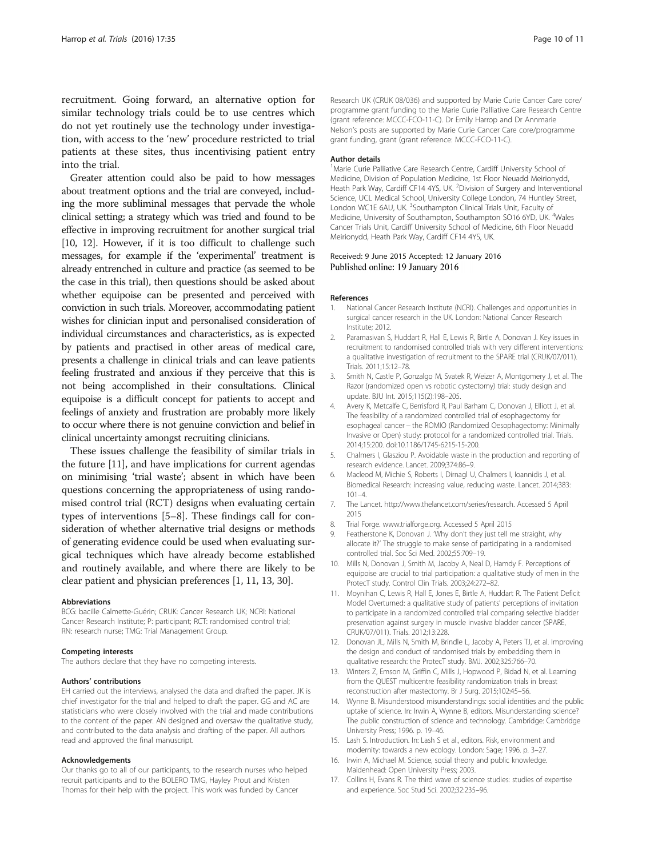<span id="page-9-0"></span>recruitment. Going forward, an alternative option for similar technology trials could be to use centres which do not yet routinely use the technology under investigation, with access to the 'new' procedure restricted to trial patients at these sites, thus incentivising patient entry into the trial.

Greater attention could also be paid to how messages about treatment options and the trial are conveyed, including the more subliminal messages that pervade the whole clinical setting; a strategy which was tried and found to be effective in improving recruitment for another surgical trial [10, 12]. However, if it is too difficult to challenge such messages, for example if the 'experimental' treatment is already entrenched in culture and practice (as seemed to be the case in this trial), then questions should be asked about whether equipoise can be presented and perceived with conviction in such trials. Moreover, accommodating patient wishes for clinician input and personalised consideration of individual circumstances and characteristics, as is expected by patients and practised in other areas of medical care, presents a challenge in clinical trials and can leave patients feeling frustrated and anxious if they perceive that this is not being accomplished in their consultations. Clinical equipoise is a difficult concept for patients to accept and feelings of anxiety and frustration are probably more likely to occur where there is not genuine conviction and belief in clinical uncertainty amongst recruiting clinicians.

These issues challenge the feasibility of similar trials in the future [11], and have implications for current agendas on minimising 'trial waste'; absent in which have been questions concerning the appropriateness of using randomised control trial (RCT) designs when evaluating certain types of interventions [5–8]. These findings call for consideration of whether alternative trial designs or methods of generating evidence could be used when evaluating surgical techniques which have already become established and routinely available, and where there are likely to be clear patient and physician preferences [1, 11, 13, [30](#page-10-0)].

#### Abbreviations

BCG: bacille Calmette-Guérin; CRUK: Cancer Research UK; NCRI: National Cancer Research Institute; P: participant; RCT: randomised control trial; RN: research nurse; TMG: Trial Management Group.

#### Competing interests

The authors declare that they have no competing interests.

#### Authors' contributions

EH carried out the interviews, analysed the data and drafted the paper. JK is chief investigator for the trial and helped to draft the paper. GG and AC are statisticians who were closely involved with the trial and made contributions to the content of the paper. AN designed and oversaw the qualitative study, and contributed to the data analysis and drafting of the paper. All authors read and approved the final manuscript.

#### Acknowledgements

Our thanks go to all of our participants, to the research nurses who helped recruit participants and to the BOLERO TMG, Hayley Prout and Kristen Thomas for their help with the project. This work was funded by Cancer

Research UK (CRUK 08/036) and supported by Marie Curie Cancer Care core/ programme grant funding to the Marie Curie Palliative Care Research Centre (grant reference: MCCC-FCO-11-C). Dr Emily Harrop and Dr Annmarie Nelson's posts are supported by Marie Curie Cancer Care core/programme grant funding, grant (grant reference: MCCC-FCO-11-C).

#### Author details

<sup>1</sup> Marie Curie Palliative Care Research Centre, Cardiff University School of Medicine, Division of Population Medicine, 1st Floor Neuadd Meirionydd, Heath Park Way, Cardiff CF14 4YS, UK. <sup>2</sup>Division of Surgery and Interventional Science, UCL Medical School, University College London, 74 Huntley Street, London WC1E 6AU, UK.<sup>3</sup>Southampton Clinical Trials Unit, Faculty of Medicine, University of Southampton, Southampton SO16 6YD, UK. <sup>4</sup>Wales Cancer Trials Unit, Cardiff University School of Medicine, 6th Floor Neuadd Meirionydd, Heath Park Way, Cardiff CF14 4YS, UK.

#### Received: 9 June 2015 Accepted: 12 January 2016 Published online: 19 January 2016

#### References

- 1. National Cancer Research Institute (NCRI). Challenges and opportunities in surgical cancer research in the UK. London: National Cancer Research Institute; 2012.
- 2. Paramasivan S, Huddart R, Hall E, Lewis R, Birtle A, Donovan J. Key issues in recruitment to randomised controlled trials with very different interventions: a qualitative investigation of recruitment to the SPARE trial (CRUK/07/011). Trials. 2011;15:12–78.
- 3. Smith N, Castle P, Gonzalgo M, Svatek R, Weizer A, Montgomery J, et al. The Razor (randomized open vs robotic cystectomy) trial: study design and update. BJU Int. 2015;115(2):198–205.
- 4. Avery K, Metcalfe C, Berrisford R, Paul Barham C, Donovan J, Elliott J, et al. The feasibility of a randomized controlled trial of esophagectomy for esophageal cancer – the ROMIO (Randomized Oesophagectomy: Minimally Invasive or Open) study: protocol for a randomized controlled trial. Trials. 2014;15:200. doi[:10.1186/1745-6215-15-200](http://dx.doi.org/10.1186/1745-6215-15-200).
- 5. Chalmers I, Glasziou P. Avoidable waste in the production and reporting of research evidence. Lancet. 2009;374:86–9.
- 6. Macleod M, Michie S, Roberts I, Dirnagl U, Chalmers I, Ioannidis J, et al. Biomedical Research: increasing value, reducing waste. Lancet. 2014;383: 101–4.
- 7. The Lancet. [http://www.thelancet.com/series/research.](http://www.thelancet.com/series/research) Accessed 5 April 2015
- 8. Trial Forge. [www.trialforge.org.](http://www.trialforge.org/) Accessed 5 April 2015
- 9. Featherstone K, Donovan J. 'Why don't they just tell me straight, why allocate it?' The struggle to make sense of participating in a randomised controlled trial. Soc Sci Med. 2002;55:709–19.
- 10. Mills N, Donovan J, Smith M, Jacoby A, Neal D, Hamdy F. Perceptions of equipoise are crucial to trial participation: a qualitative study of men in the ProtecT study. Control Clin Trials. 2003;24:272–82.
- 11. Moynihan C, Lewis R, Hall E, Jones E, Birtle A, Huddart R. The Patient Deficit Model Overturned: a qualitative study of patients' perceptions of invitation to participate in a randomized controlled trial comparing selective bladder preservation against surgery in muscle invasive bladder cancer (SPARE, CRUK/07/011). Trials. 2012;13:228.
- 12. Donovan JL, Mills N, Smith M, Brindle L, Jacoby A, Peters TJ, et al. Improving the design and conduct of randomised trials by embedding them in qualitative research: the ProtecT study. BMJ. 2002;325:766–70.
- 13. Winters Z, Emson M, Griffin C, Mills J, Hopwood P, Bidad N, et al. Learning from the QUEST multicentre feasibility randomization trials in breast reconstruction after mastectomy. Br J Surg. 2015;102:45–56.
- 14. Wynne B. Misunderstood misunderstandings: social identities and the public uptake of science. In: Irwin A, Wynne B, editors. Misunderstanding science? The public construction of science and technology. Cambridge: Cambridge University Press; 1996. p. 19–46.
- 15. Lash S. Introduction. In: Lash S et al., editors. Risk, environment and modernity: towards a new ecology. London: Sage; 1996. p. 3–27.
- 16. Irwin A, Michael M. Science, social theory and public knowledge. Maidenhead: Open University Press; 2003.
- 17. Collins H, Evans R. The third wave of science studies: studies of expertise and experience. Soc Stud Sci. 2002;32:235–96.